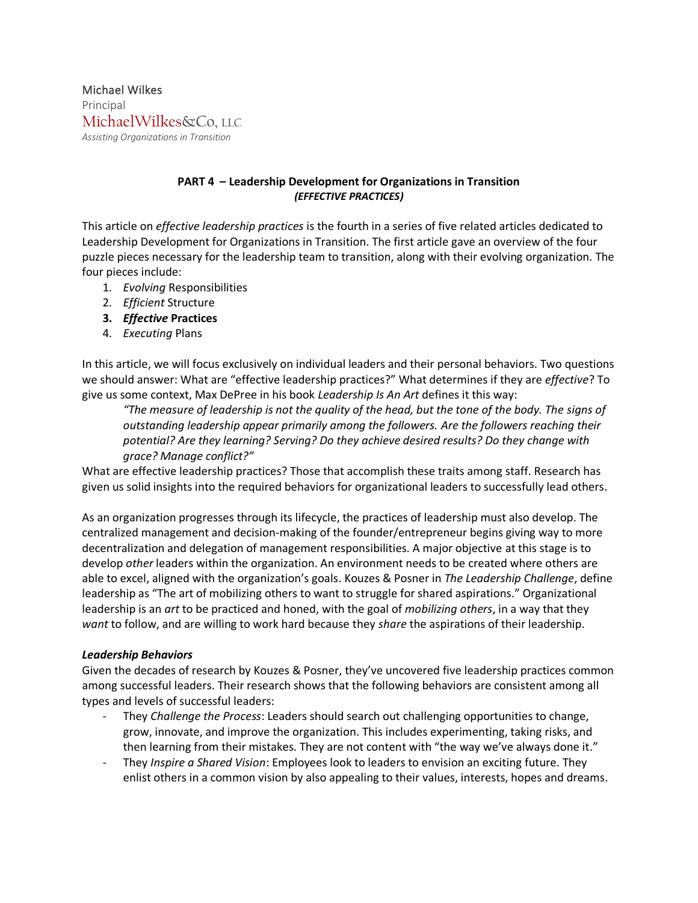Michael Wilkes Principal MichaelWilkes&Co, LLC *Assisting Organizations in Transition*

## **PART 4 – Leadership Development for Organizations in Transition** *(EFFECTIVE PRACTICES)*

This article on *effective leadership practices* is the fourth in a series of five related articles dedicated to Leadership Development for Organizations in Transition. The first article gave an overview of the four puzzle pieces necessary for the leadership team to transition, along with their evolving organization. The four pieces include:

- 1. *Evolving* Responsibilities
- 2. *Efficient* Structure
- **3.** *Effective* **Practices**
- 4. *Executing* Plans

In this article, we will focus exclusively on individual leaders and their personal behaviors. Two questions we should answer: What are "effective leadership practices?" What determines if they are *effective*? To give us some context, Max DePree in his book *Leadership Is An Art* defines it this way:

"The measure of leadership is not the quality of the head, but the tone of the body. The signs of *outstanding leadership appear primarily among the followers. Are the followers reaching their potential? Are they learning? Serving? Do they achieve desired results? Do they change with grace? Manage conflict?"*

What are effective leadership practices? Those that accomplish these traits among staff. Research has given us solid insights into the required behaviors for organizational leaders to successfully lead others.

As an organization progresses through its lifecycle, the practices of leadership must also develop. The centralized management and decision-making of the founder/entrepreneur begins giving way to more decentralization and delegation of management responsibilities. A major objective at this stage is to develop *other* leaders within the organization. An environment needs to be created where others are able to excel, aligned with the organization's goals. Kouzes & Posner in *The Leadership Challenge*, define leadership as "The art of mobilizing others to want to struggle for shared aspirations." Organizational leadership is an *art* to be practiced and honed, with the goal of *mobilizing others*, in a way that they *want* to follow, and are willing to work hard because they *share* the aspirations of their leadership.

## *Leadership Behaviors*

Given the decades of research by Kouzes & Posner, they've uncovered five leadership practices common among successful leaders. Their research shows that the following behaviors are consistent among all types and levels of successful leaders:

- They *Challenge the Process*: Leaders should search out challenging opportunities to change, grow, innovate, and improve the organization. This includes experimenting, taking risks, and then learning from their mistakes. They are not content with "the way we've always done it."
- They *Inspire a Shared Vision*: Employees look to leaders to envision an exciting future. They enlist others in a common vision by also appealing to their values, interests, hopes and dreams.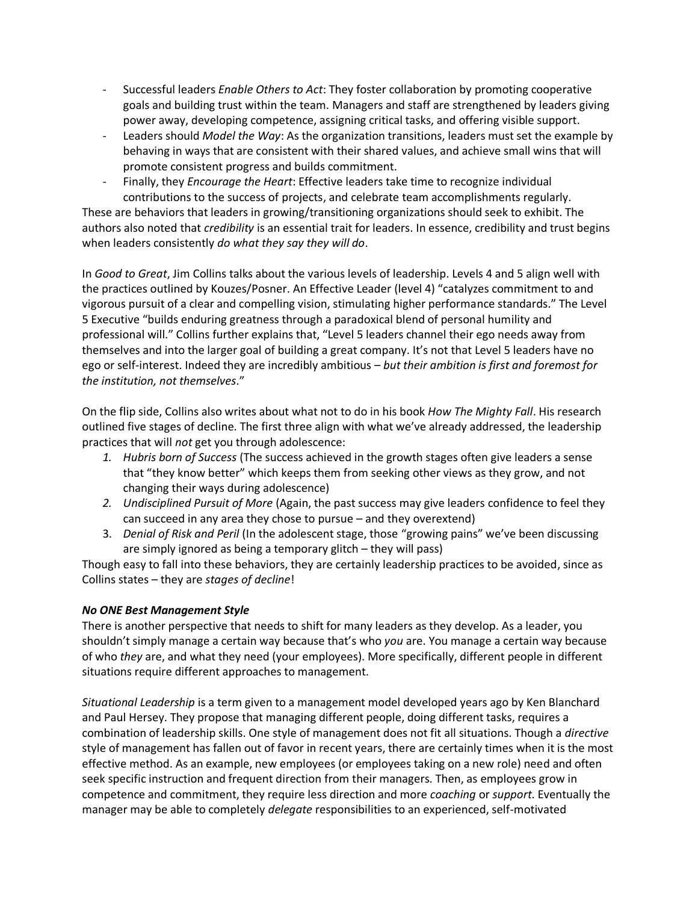- Successful leaders *Enable Others to Act*: They foster collaboration by promoting cooperative goals and building trust within the team. Managers and staff are strengthened by leaders giving power away, developing competence, assigning critical tasks, and offering visible support.
- Leaders should *Model the Way*: As the organization transitions, leaders must set the example by behaving in ways that are consistent with their shared values, and achieve small wins that will promote consistent progress and builds commitment.
- Finally, they *Encourage the Heart*: Effective leaders take time to recognize individual contributions to the success of projects, and celebrate team accomplishments regularly.

These are behaviors that leaders in growing/transitioning organizations should seek to exhibit. The authors also noted that *credibility* is an essential trait for leaders. In essence, credibility and trust begins when leaders consistently *do what they say they will do*.

In *Good to Great*, Jim Collins talks about the various levels of leadership. Levels 4 and 5 align well with the practices outlined by Kouzes/Posner. An Effective Leader (level 4) "catalyzes commitment to and vigorous pursuit of a clear and compelling vision, stimulating higher performance standards." The Level 5 Executive "builds enduring greatness through a paradoxical blend of personal humility and professional will." Collins further explains that, "Level 5 leaders channel their ego needs away from themselves and into the larger goal of building a great company. It's not that Level 5 leaders have no ego or self-interest. Indeed they are incredibly ambitious – *but their ambition is first and foremost for the institution, not themselves*."

On the flip side, Collins also writes about what not to do in his book *How The Mighty Fall*. His research outlined five stages of decline. The first three align with what we've already addressed, the leadership practices that will *not* get you through adolescence:

- *1. Hubris born of Success* (The success achieved in the growth stages often give leaders a sense that "they know better" which keeps them from seeking other views as they grow, and not changing their ways during adolescence)
- *2. Undisciplined Pursuit of More* (Again, the past success may give leaders confidence to feel they can succeed in any area they chose to pursue – and they overextend)
- 3. *Denial of Risk and Peril* (In the adolescent stage, those "growing pains" we've been discussing are simply ignored as being a temporary glitch – they will pass)

Though easy to fall into these behaviors, they are certainly leadership practices to be avoided, since as Collins states – they are *stages of decline*!

# *No ONE Best Management Style*

There is another perspective that needs to shift for many leaders as they develop. As a leader, you shouldn't simply manage a certain way because that's who *you* are. You manage a certain way because of who *they* are, and what they need (your employees). More specifically, different people in different situations require different approaches to management.

*Situational Leadership* is a term given to a management model developed years ago by Ken Blanchard and Paul Hersey. They propose that managing different people, doing different tasks, requires a combination of leadership skills. One style of management does not fit all situations. Though a *directive* style of management has fallen out of favor in recent years, there are certainly times when it is the most effective method. As an example, new employees (or employees taking on a new role) need and often seek specific instruction and frequent direction from their managers. Then, as employees grow in competence and commitment, they require less direction and more *coaching* or *support*. Eventually the manager may be able to completely *delegate* responsibilities to an experienced, self-motivated